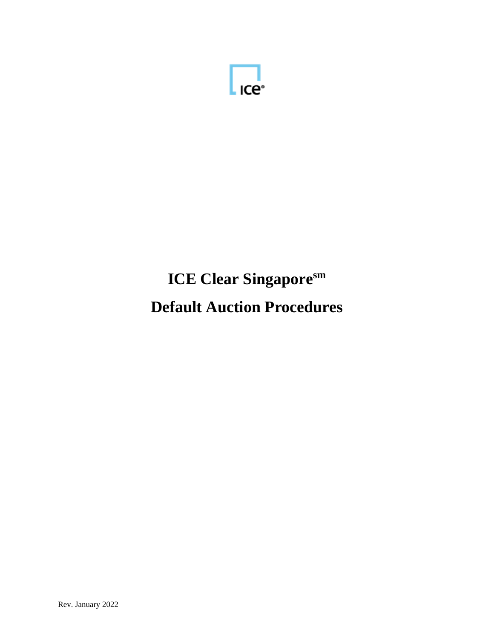

# **ICE Clear Singaporesm Default Auction Procedures**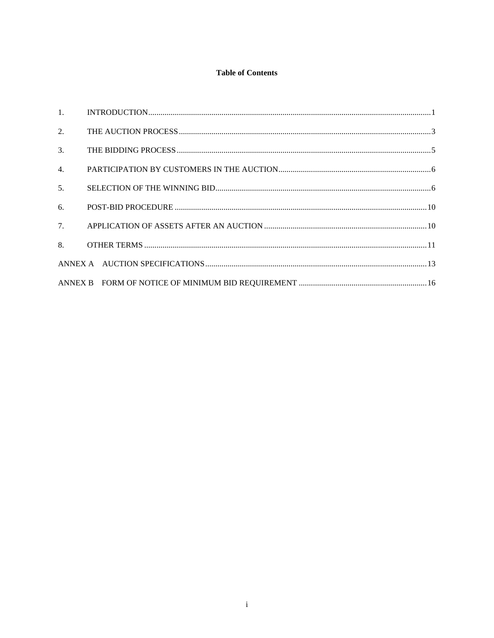## **Table of Contents**

| 2. |  |
|----|--|
| 3. |  |
| 4. |  |
| 5. |  |
| 6. |  |
| 7. |  |
|    |  |
|    |  |
|    |  |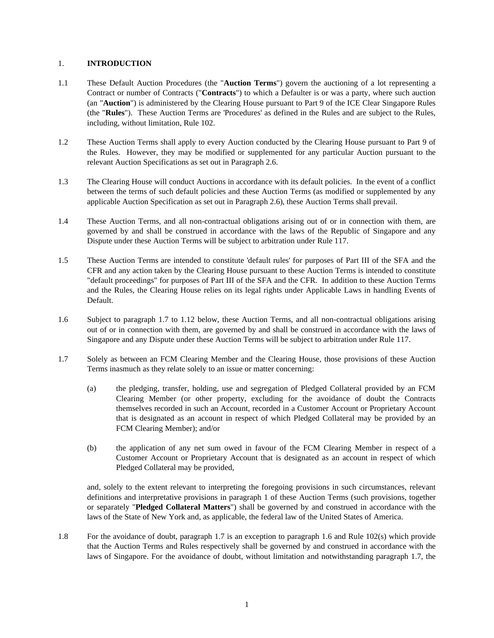#### 1. **INTRODUCTION**

- 1.1 These Default Auction Procedures (the "**Auction Terms**") govern the auctioning of a lot representing a Contract or number of Contracts ("**Contracts**") to which a Defaulter is or was a party, where such auction (an "**Auction**") is administered by the Clearing House pursuant to Part 9 of the ICE Clear Singapore Rules (the "**Rules**"). These Auction Terms are 'Procedures' as defined in the Rules and are subject to the Rules, including, without limitation, Rule 102.
- 1.2 These Auction Terms shall apply to every Auction conducted by the Clearing House pursuant to Part 9 of the Rules. However, they may be modified or supplemented for any particular Auction pursuant to the relevant Auction Specifications as set out in Paragraph 2.6.
- 1.3 The Clearing House will conduct Auctions in accordance with its default policies. In the event of a conflict between the terms of such default policies and these Auction Terms (as modified or supplemented by any applicable Auction Specification as set out in Paragraph 2.6), these Auction Terms shall prevail.
- 1.4 These Auction Terms, and all non-contractual obligations arising out of or in connection with them, are governed by and shall be construed in accordance with the laws of the Republic of Singapore and any Dispute under these Auction Terms will be subject to arbitration under Rule 117.
- 1.5 These Auction Terms are intended to constitute 'default rules' for purposes of Part III of the SFA and the CFR and any action taken by the Clearing House pursuant to these Auction Terms is intended to constitute "default proceedings" for purposes of Part III of the SFA and the CFR. In addition to these Auction Terms and the Rules, the Clearing House relies on its legal rights under Applicable Laws in handling Events of Default.
- 1.6 Subject to paragraph 1.7 to 1.12 below, these Auction Terms, and all non-contractual obligations arising out of or in connection with them, are governed by and shall be construed in accordance with the laws of Singapore and any Dispute under these Auction Terms will be subject to arbitration under Rule 117.
- 1.7 Solely as between an FCM Clearing Member and the Clearing House, those provisions of these Auction Terms inasmuch as they relate solely to an issue or matter concerning:
	- (a) the pledging, transfer, holding, use and segregation of Pledged Collateral provided by an FCM Clearing Member (or other property, excluding for the avoidance of doubt the Contracts themselves recorded in such an Account, recorded in a Customer Account or Proprietary Account that is designated as an account in respect of which Pledged Collateral may be provided by an FCM Clearing Member); and/or
	- (b) the application of any net sum owed in favour of the FCM Clearing Member in respect of a Customer Account or Proprietary Account that is designated as an account in respect of which Pledged Collateral may be provided,

and, solely to the extent relevant to interpreting the foregoing provisions in such circumstances, relevant definitions and interpretative provisions in paragraph 1 of these Auction Terms (such provisions, together or separately "**Pledged Collateral Matters**") shall be governed by and construed in accordance with the laws of the State of New York and, as applicable, the federal law of the United States of America.

1.8 For the avoidance of doubt, paragraph 1.7 is an exception to paragraph 1.6 and Rule 102(s) which provide that the Auction Terms and Rules respectively shall be governed by and construed in accordance with the laws of Singapore. For the avoidance of doubt, without limitation and notwithstanding paragraph 1.7, the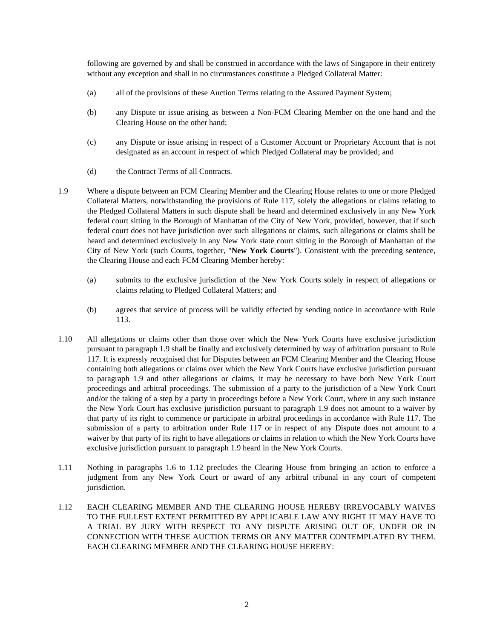following are governed by and shall be construed in accordance with the laws of Singapore in their entirety without any exception and shall in no circumstances constitute a Pledged Collateral Matter:

- (a) all of the provisions of these Auction Terms relating to the Assured Payment System;
- (b) any Dispute or issue arising as between a Non-FCM Clearing Member on the one hand and the Clearing House on the other hand;
- (c) any Dispute or issue arising in respect of a Customer Account or Proprietary Account that is not designated as an account in respect of which Pledged Collateral may be provided; and
- (d) the Contract Terms of all Contracts.
- 1.9 Where a dispute between an FCM Clearing Member and the Clearing House relates to one or more Pledged Collateral Matters, notwithstanding the provisions of Rule 117, solely the allegations or claims relating to the Pledged Collateral Matters in such dispute shall be heard and determined exclusively in any New York federal court sitting in the Borough of Manhattan of the City of New York, provided, however, that if such federal court does not have jurisdiction over such allegations or claims, such allegations or claims shall be heard and determined exclusively in any New York state court sitting in the Borough of Manhattan of the City of New York (such Courts, together, "**New York Courts**"). Consistent with the preceding sentence, the Clearing House and each FCM Clearing Member hereby:
	- (a) submits to the exclusive jurisdiction of the New York Courts solely in respect of allegations or claims relating to Pledged Collateral Matters; and
	- (b) agrees that service of process will be validly effected by sending notice in accordance with Rule 113.
- 1.10 All allegations or claims other than those over which the New York Courts have exclusive jurisdiction pursuant to paragraph 1.9 shall be finally and exclusively determined by way of arbitration pursuant to Rule 117. It is expressly recognised that for Disputes between an FCM Clearing Member and the Clearing House containing both allegations or claims over which the New York Courts have exclusive jurisdiction pursuant to paragraph 1.9 and other allegations or claims, it may be necessary to have both New York Court proceedings and arbitral proceedings. The submission of a party to the jurisdiction of a New York Court and/or the taking of a step by a party in proceedings before a New York Court, where in any such instance the New York Court has exclusive jurisdiction pursuant to paragraph 1.9 does not amount to a waiver by that party of its right to commence or participate in arbitral proceedings in accordance with Rule 117. The submission of a party to arbitration under Rule 117 or in respect of any Dispute does not amount to a waiver by that party of its right to have allegations or claims in relation to which the New York Courts have exclusive jurisdiction pursuant to paragraph 1.9 heard in the New York Courts.
- 1.11 Nothing in paragraphs 1.6 to 1.12 precludes the Clearing House from bringing an action to enforce a judgment from any New York Court or award of any arbitral tribunal in any court of competent jurisdiction.
- 1.12 EACH CLEARING MEMBER AND THE CLEARING HOUSE HEREBY IRREVOCABLY WAIVES TO THE FULLEST EXTENT PERMITTED BY APPLICABLE LAW ANY RIGHT IT MAY HAVE TO A TRIAL BY JURY WITH RESPECT TO ANY DISPUTE ARISING OUT OF, UNDER OR IN CONNECTION WITH THESE AUCTION TERMS OR ANY MATTER CONTEMPLATED BY THEM. EACH CLEARING MEMBER AND THE CLEARING HOUSE HEREBY: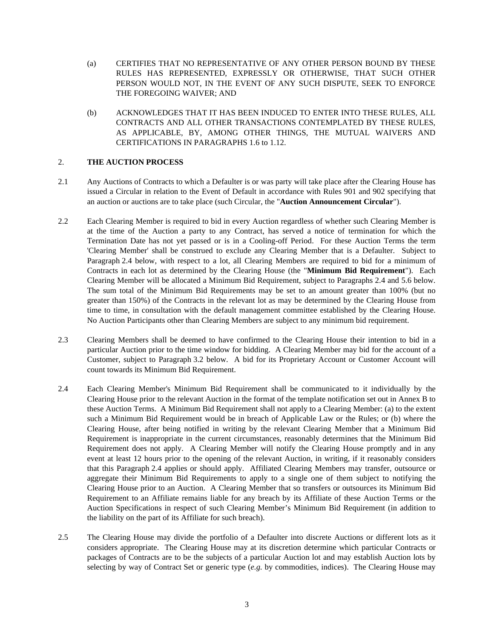- (a) CERTIFIES THAT NO REPRESENTATIVE OF ANY OTHER PERSON BOUND BY THESE RULES HAS REPRESENTED, EXPRESSLY OR OTHERWISE, THAT SUCH OTHER PERSON WOULD NOT, IN THE EVENT OF ANY SUCH DISPUTE, SEEK TO ENFORCE THE FOREGOING WAIVER; AND
- (b) ACKNOWLEDGES THAT IT HAS BEEN INDUCED TO ENTER INTO THESE RULES, ALL CONTRACTS AND ALL OTHER TRANSACTIONS CONTEMPLATED BY THESE RULES, AS APPLICABLE, BY, AMONG OTHER THINGS, THE MUTUAL WAIVERS AND CERTIFICATIONS IN PARAGRAPHS 1.6 to 1.12.

#### 2. **THE AUCTION PROCESS**

- 2.1 Any Auctions of Contracts to which a Defaulter is or was party will take place after the Clearing House has issued a Circular in relation to the Event of Default in accordance with Rules 901 and 902 specifying that an auction or auctions are to take place (such Circular, the "**Auction Announcement Circular**").
- 2.2 Each Clearing Member is required to bid in every Auction regardless of whether such Clearing Member is at the time of the Auction a party to any Contract, has served a notice of termination for which the Termination Date has not yet passed or is in a Cooling-off Period. For these Auction Terms the term 'Clearing Member' shall be construed to exclude any Clearing Member that is a Defaulter. Subject to Paragraph 2.4 below, with respect to a lot, all Clearing Members are required to bid for a minimum of Contracts in each lot as determined by the Clearing House (the "**Minimum Bid Requirement**"). Each Clearing Member will be allocated a Minimum Bid Requirement, subject to Paragraphs 2.4 and 5.6 below. The sum total of the Minimum Bid Requirements may be set to an amount greater than 100% (but no greater than 150%) of the Contracts in the relevant lot as may be determined by the Clearing House from time to time, in consultation with the default management committee established by the Clearing House. No Auction Participants other than Clearing Members are subject to any minimum bid requirement.
- 2.3 Clearing Members shall be deemed to have confirmed to the Clearing House their intention to bid in a particular Auction prior to the time window for bidding. A Clearing Member may bid for the account of a Customer, subject to Paragraph 3.2 below. A bid for its Proprietary Account or Customer Account will count towards its Minimum Bid Requirement.
- 2.4 Each Clearing Member's Minimum Bid Requirement shall be communicated to it individually by the Clearing House prior to the relevant Auction in the format of the template notification set out in Annex B to these Auction Terms. A Minimum Bid Requirement shall not apply to a Clearing Member: (a) to the extent such a Minimum Bid Requirement would be in breach of Applicable Law or the Rules; or (b) where the Clearing House, after being notified in writing by the relevant Clearing Member that a Minimum Bid Requirement is inappropriate in the current circumstances, reasonably determines that the Minimum Bid Requirement does not apply. A Clearing Member will notify the Clearing House promptly and in any event at least 12 hours prior to the opening of the relevant Auction, in writing, if it reasonably considers that this Paragraph 2.4 applies or should apply. Affiliated Clearing Members may transfer, outsource or aggregate their Minimum Bid Requirements to apply to a single one of them subject to notifying the Clearing House prior to an Auction. A Clearing Member that so transfers or outsources its Minimum Bid Requirement to an Affiliate remains liable for any breach by its Affiliate of these Auction Terms or the Auction Specifications in respect of such Clearing Member's Minimum Bid Requirement (in addition to the liability on the part of its Affiliate for such breach).
- 2.5 The Clearing House may divide the portfolio of a Defaulter into discrete Auctions or different lots as it considers appropriate. The Clearing House may at its discretion determine which particular Contracts or packages of Contracts are to be the subjects of a particular Auction lot and may establish Auction lots by selecting by way of Contract Set or generic type (*e.g.* by commodities, indices). The Clearing House may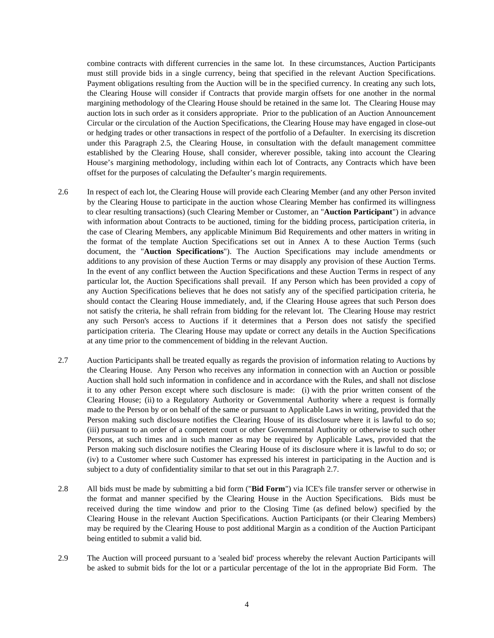combine contracts with different currencies in the same lot. In these circumstances, Auction Participants must still provide bids in a single currency, being that specified in the relevant Auction Specifications. Payment obligations resulting from the Auction will be in the specified currency. In creating any such lots, the Clearing House will consider if Contracts that provide margin offsets for one another in the normal margining methodology of the Clearing House should be retained in the same lot. The Clearing House may auction lots in such order as it considers appropriate. Prior to the publication of an Auction Announcement Circular or the circulation of the Auction Specifications, the Clearing House may have engaged in close-out or hedging trades or other transactions in respect of the portfolio of a Defaulter. In exercising its discretion under this Paragraph 2.5, the Clearing House, in consultation with the default management committee established by the Clearing House, shall consider, wherever possible, taking into account the Clearing House's margining methodology, including within each lot of Contracts, any Contracts which have been offset for the purposes of calculating the Defaulter's margin requirements.

- 2.6 In respect of each lot, the Clearing House will provide each Clearing Member (and any other Person invited by the Clearing House to participate in the auction whose Clearing Member has confirmed its willingness to clear resulting transactions) (such Clearing Member or Customer, an "**Auction Participant**") in advance with information about Contracts to be auctioned, timing for the bidding process, participation criteria, in the case of Clearing Members, any applicable Minimum Bid Requirements and other matters in writing in the format of the template Auction Specifications set out in Annex A to these Auction Terms (such document, the "**Auction Specifications**"). The Auction Specifications may include amendments or additions to any provision of these Auction Terms or may disapply any provision of these Auction Terms. In the event of any conflict between the Auction Specifications and these Auction Terms in respect of any particular lot, the Auction Specifications shall prevail. If any Person which has been provided a copy of any Auction Specifications believes that he does not satisfy any of the specified participation criteria, he should contact the Clearing House immediately, and, if the Clearing House agrees that such Person does not satisfy the criteria, he shall refrain from bidding for the relevant lot. The Clearing House may restrict any such Person's access to Auctions if it determines that a Person does not satisfy the specified participation criteria. The Clearing House may update or correct any details in the Auction Specifications at any time prior to the commencement of bidding in the relevant Auction.
- 2.7 Auction Participants shall be treated equally as regards the provision of information relating to Auctions by the Clearing House. Any Person who receives any information in connection with an Auction or possible Auction shall hold such information in confidence and in accordance with the Rules, and shall not disclose it to any other Person except where such disclosure is made: (i) with the prior written consent of the Clearing House; (ii) to a Regulatory Authority or Governmental Authority where a request is formally made to the Person by or on behalf of the same or pursuant to Applicable Laws in writing, provided that the Person making such disclosure notifies the Clearing House of its disclosure where it is lawful to do so; (iii) pursuant to an order of a competent court or other Governmental Authority or otherwise to such other Persons, at such times and in such manner as may be required by Applicable Laws, provided that the Person making such disclosure notifies the Clearing House of its disclosure where it is lawful to do so; or (iv) to a Customer where such Customer has expressed his interest in participating in the Auction and is subject to a duty of confidentiality similar to that set out in this Paragraph 2.7.
- 2.8 All bids must be made by submitting a bid form ("**Bid Form**") via ICE's file transfer server or otherwise in the format and manner specified by the Clearing House in the Auction Specifications. Bids must be received during the time window and prior to the Closing Time (as defined below) specified by the Clearing House in the relevant Auction Specifications. Auction Participants (or their Clearing Members) may be required by the Clearing House to post additional Margin as a condition of the Auction Participant being entitled to submit a valid bid.
- 2.9 The Auction will proceed pursuant to a 'sealed bid' process whereby the relevant Auction Participants will be asked to submit bids for the lot or a particular percentage of the lot in the appropriate Bid Form. The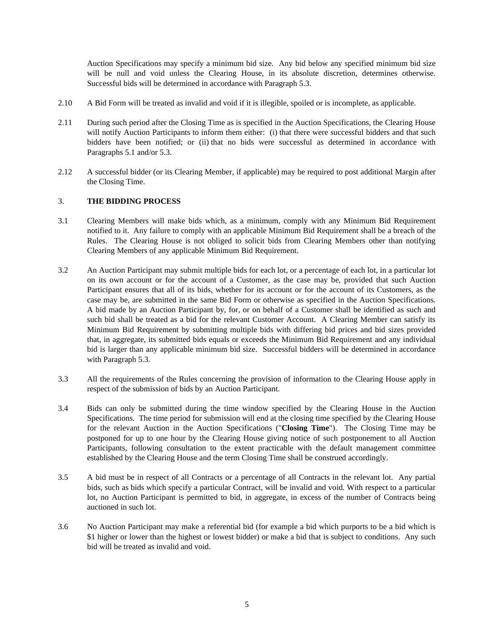Auction Specifications may specify a minimum bid size. Any bid below any specified minimum bid size will be null and void unless the Clearing House, in its absolute discretion, determines otherwise. Successful bids will be determined in accordance with Paragraph 5.3.

- 2.10 A Bid Form will be treated as invalid and void if it is illegible, spoiled or is incomplete, as applicable.
- 2.11 During such period after the Closing Time as is specified in the Auction Specifications, the Clearing House will notify Auction Participants to inform them either: (i) that there were successful bidders and that such bidders have been notified; or (ii) that no bids were successful as determined in accordance with Paragraphs 5.1 and/or 5.3.
- 2.12 A successful bidder (or its Clearing Member, if applicable) may be required to post additional Margin after the Closing Time.

## 3. **THE BIDDING PROCESS**

- 3.1 Clearing Members will make bids which, as a minimum, comply with any Minimum Bid Requirement notified to it. Any failure to comply with an applicable Minimum Bid Requirement shall be a breach of the Rules. The Clearing House is not obliged to solicit bids from Clearing Members other than notifying Clearing Members of any applicable Minimum Bid Requirement.
- 3.2 An Auction Participant may submit multiple bids for each lot, or a percentage of each lot, in a particular lot on its own account or for the account of a Customer, as the case may be, provided that such Auction Participant ensures that all of its bids, whether for its account or for the account of its Customers, as the case may be, are submitted in the same Bid Form or otherwise as specified in the Auction Specifications. A bid made by an Auction Participant by, for, or on behalf of a Customer shall be identified as such and such bid shall be treated as a bid for the relevant Customer Account. A Clearing Member can satisfy its Minimum Bid Requirement by submitting multiple bids with differing bid prices and bid sizes provided that, in aggregate, its submitted bids equals or exceeds the Minimum Bid Requirement and any individual bid is larger than any applicable minimum bid size. Successful bidders will be determined in accordance with Paragraph 5.3.
- 3.3 All the requirements of the Rules concerning the provision of information to the Clearing House apply in respect of the submission of bids by an Auction Participant.
- 3.4 Bids can only be submitted during the time window specified by the Clearing House in the Auction Specifications. The time period for submission will end at the closing time specified by the Clearing House for the relevant Auction in the Auction Specifications ("**Closing Time**"). The Closing Time may be postponed for up to one hour by the Clearing House giving notice of such postponement to all Auction Participants, following consultation to the extent practicable with the default management committee established by the Clearing House and the term Closing Time shall be construed accordingly.
- 3.5 A bid must be in respect of all Contracts or a percentage of all Contracts in the relevant lot. Any partial bids, such as bids which specify a particular Contract, will be invalid and void. With respect to a particular lot, no Auction Participant is permitted to bid, in aggregate, in excess of the number of Contracts being auctioned in such lot.
- 3.6 No Auction Participant may make a referential bid (for example a bid which purports to be a bid which is \$1 higher or lower than the highest or lowest bidder) or make a bid that is subject to conditions. Any such bid will be treated as invalid and void.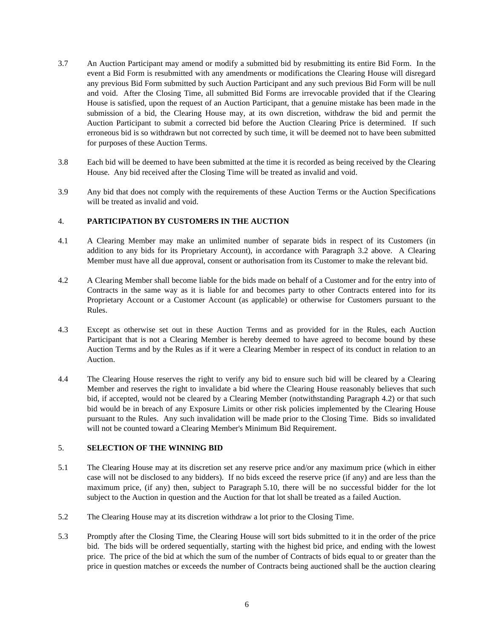- 3.7 An Auction Participant may amend or modify a submitted bid by resubmitting its entire Bid Form. In the event a Bid Form is resubmitted with any amendments or modifications the Clearing House will disregard any previous Bid Form submitted by such Auction Participant and any such previous Bid Form will be null and void. After the Closing Time, all submitted Bid Forms are irrevocable provided that if the Clearing House is satisfied, upon the request of an Auction Participant, that a genuine mistake has been made in the submission of a bid, the Clearing House may, at its own discretion, withdraw the bid and permit the Auction Participant to submit a corrected bid before the Auction Clearing Price is determined. If such erroneous bid is so withdrawn but not corrected by such time, it will be deemed not to have been submitted for purposes of these Auction Terms.
- 3.8 Each bid will be deemed to have been submitted at the time it is recorded as being received by the Clearing House. Any bid received after the Closing Time will be treated as invalid and void.
- 3.9 Any bid that does not comply with the requirements of these Auction Terms or the Auction Specifications will be treated as invalid and void.

## 4. **PARTICIPATION BY CUSTOMERS IN THE AUCTION**

- 4.1 A Clearing Member may make an unlimited number of separate bids in respect of its Customers (in addition to any bids for its Proprietary Account), in accordance with Paragraph 3.2 above. A Clearing Member must have all due approval, consent or authorisation from its Customer to make the relevant bid.
- 4.2 A Clearing Member shall become liable for the bids made on behalf of a Customer and for the entry into of Contracts in the same way as it is liable for and becomes party to other Contracts entered into for its Proprietary Account or a Customer Account (as applicable) or otherwise for Customers pursuant to the Rules.
- 4.3 Except as otherwise set out in these Auction Terms and as provided for in the Rules, each Auction Participant that is not a Clearing Member is hereby deemed to have agreed to become bound by these Auction Terms and by the Rules as if it were a Clearing Member in respect of its conduct in relation to an Auction.
- 4.4 The Clearing House reserves the right to verify any bid to ensure such bid will be cleared by a Clearing Member and reserves the right to invalidate a bid where the Clearing House reasonably believes that such bid, if accepted, would not be cleared by a Clearing Member (notwithstanding Paragraph 4.2) or that such bid would be in breach of any Exposure Limits or other risk policies implemented by the Clearing House pursuant to the Rules. Any such invalidation will be made prior to the Closing Time. Bids so invalidated will not be counted toward a Clearing Member's Minimum Bid Requirement.

# 5. **SELECTION OF THE WINNING BID**

- 5.1 The Clearing House may at its discretion set any reserve price and/or any maximum price (which in either case will not be disclosed to any bidders). If no bids exceed the reserve price (if any) and are less than the maximum price, (if any) then, subject to Paragraph 5.10, there will be no successful bidder for the lot subject to the Auction in question and the Auction for that lot shall be treated as a failed Auction.
- 5.2 The Clearing House may at its discretion withdraw a lot prior to the Closing Time.
- 5.3 Promptly after the Closing Time, the Clearing House will sort bids submitted to it in the order of the price bid. The bids will be ordered sequentially, starting with the highest bid price, and ending with the lowest price. The price of the bid at which the sum of the number of Contracts of bids equal to or greater than the price in question matches or exceeds the number of Contracts being auctioned shall be the auction clearing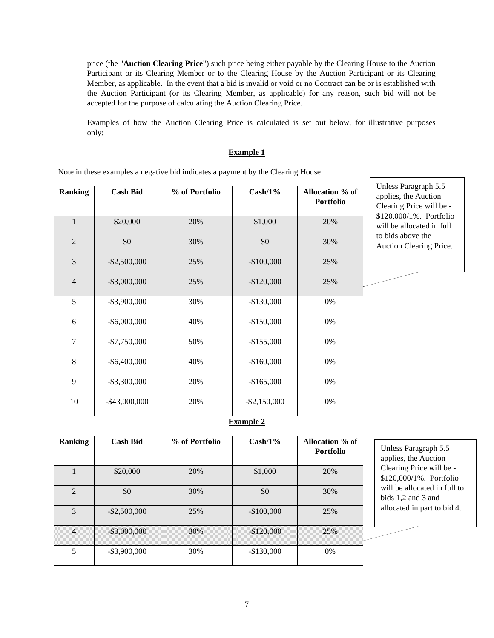price (the "**Auction Clearing Price**") such price being either payable by the Clearing House to the Auction Participant or its Clearing Member or to the Clearing House by the Auction Participant or its Clearing Member, as applicable. In the event that a bid is invalid or void or no Contract can be or is established with the Auction Participant (or its Clearing Member, as applicable) for any reason, such bid will not be accepted for the purpose of calculating the Auction Clearing Price.

Examples of how the Auction Clearing Price is calculated is set out below, for illustrative purposes only:

#### **Example 1**

Note in these examples a negative bid indicates a payment by the Clearing House

| <b>Ranking</b> | <b>Cash Bid</b>  | % of Portfolio | $Cash/1\%$      | Allocation % of<br>Portfolio |
|----------------|------------------|----------------|-----------------|------------------------------|
| $\mathbf{1}$   | \$20,000         | 20%            | \$1,000         | 20%                          |
| $\overline{2}$ | \$0              | 30%            | \$0             | 30%                          |
| 3              | $-$ \$2,500,000  | 25%            | $-$100,000$     | 25%                          |
| $\overline{4}$ | $-$ \$3,000,000  | 25%            | $-$120,000$     | 25%                          |
| 5              | $-$ \$3,900,000  | 30%            | $-$130,000$     | 0%                           |
| 6              | $-$ \$6,000,000  | 40%            | $-$150,000$     | 0%                           |
| $\overline{7}$ | $-$7,750,000$    | 50%            | $-$155,000$     | 0%                           |
| 8              | $-$ \$6,400,000  | 40%            | $-$160,000$     | 0%                           |
| 9              | $-$ \$3,300,000  | 20%            | $-$165,000$     | 0%                           |
| 10             | $-$ \$43,000,000 | 20%            | $-$ \$2,150,000 | 0%                           |

**Example 2**

| <b>Ranking</b> | <b>Cash Bid</b> | % of Portfolio | $Cash/1\%$  | Allocation % of<br><b>Portfolio</b> |
|----------------|-----------------|----------------|-------------|-------------------------------------|
|                | \$20,000        | 20%            | \$1,000     | 20%                                 |
| $\overline{2}$ | \$0             | 30%            | \$0         | 30%                                 |
| 3              | $-$ \$2,500,000 | 25%            | $-$100,000$ | 25%                                 |
| $\overline{4}$ | $-$ \$3,000,000 | 30%            | $-$120,000$ | 25%                                 |
| 5              | $-$ \$3,900,000 | 30%            | $-$130,000$ | 0%                                  |

Unless Paragraph 5.5 applies, the Auction Clearing Price will be - \$120,000/1%. Portfolio will be allocated in full to bids 1,2 and 3 and allocated in part to bid 4.

Unless Paragraph 5.5 applies, the Auction Clearing Price will be - \$120,000/1%. Portfolio will be allocated in full to bids above the Auction Clearing Price.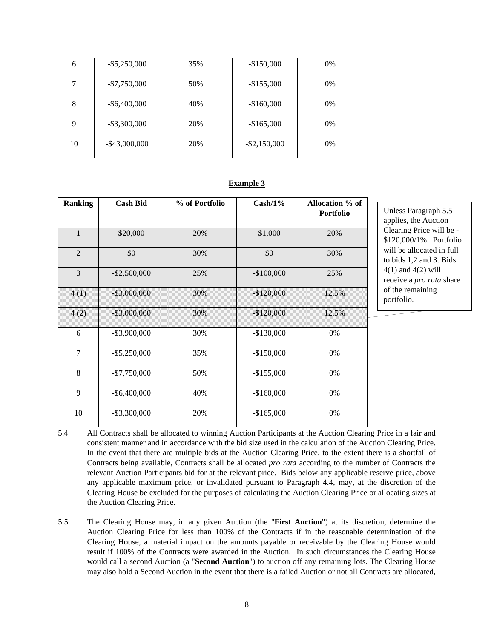| 6  | $-$ \$5,250,000  | 35% | $-$150,000$     | 0%    |
|----|------------------|-----|-----------------|-------|
|    | $-$7,750,000$    | 50% | $-$155,000$     | 0%    |
| 8  | $-$ \$6,400,000  | 40% | $-$160,000$     | 0%    |
| 9  | $-$ \$3,300,000  | 20% | $-$165,000$     | 0%    |
| 10 | $-$ \$43,000,000 | 20% | $-$ \$2,150,000 | $0\%$ |

#### **Example 3**

| <b>Ranking</b> | <b>Cash Bid</b> | % of Portfolio<br>$Cash/1\%$ |             | <b>Allocation</b> % of<br><b>Portfolio</b> |
|----------------|-----------------|------------------------------|-------------|--------------------------------------------|
| $\mathbf{1}$   | \$20,000        | 20%                          | \$1,000     | 20%                                        |
| $\overline{2}$ | \$0             | 30%                          | \$0         | 30%                                        |
| 3              | $-$ \$2,500,000 | 25%                          | $-$100,000$ | 25%                                        |
| 4(1)           | $-$ \$3,000,000 | 30%                          | $-$120,000$ | 12.5%                                      |
| 4(2)           | $-$ \$3,000,000 | 30%                          | $-$120,000$ | 12.5%                                      |
| 6              | $-$ \$3,900,000 | 30%                          | $-$130,000$ | 0%                                         |
| $\tau$         | $-$ \$5,250,000 | 35%                          | $-$150,000$ | 0%                                         |
| 8              | $-$7,750,000$   | 50%                          | $-$155,000$ | 0%                                         |
| 9              | $-$ \$6,400,000 | 40%                          | $-$160,000$ | 0%                                         |
| 10             | $-$ \$3,300,000 | 20%                          | $-$165,000$ | 0%                                         |

Unless Paragraph 5.5 applies, the Auction Clearing Price will be - \$120,000/1%. Portfolio will be allocated in full to bids 1,2 and 3. Bids 4(1) and 4(2) will receive a *pro rata* share of the remaining portfolio.

5.4 All Contracts shall be allocated to winning Auction Participants at the Auction Clearing Price in a fair and consistent manner and in accordance with the bid size used in the calculation of the Auction Clearing Price. In the event that there are multiple bids at the Auction Clearing Price, to the extent there is a shortfall of Contracts being available, Contracts shall be allocated *pro rata* according to the number of Contracts the relevant Auction Participants bid for at the relevant price. Bids below any applicable reserve price, above any applicable maximum price, or invalidated pursuant to Paragraph 4.4, may, at the discretion of the Clearing House be excluded for the purposes of calculating the Auction Clearing Price or allocating sizes at the Auction Clearing Price.

5.5 The Clearing House may, in any given Auction (the "**First Auction**") at its discretion, determine the Auction Clearing Price for less than 100% of the Contracts if in the reasonable determination of the Clearing House, a material impact on the amounts payable or receivable by the Clearing House would result if 100% of the Contracts were awarded in the Auction. In such circumstances the Clearing House would call a second Auction (a "**Second Auction**") to auction off any remaining lots. The Clearing House may also hold a Second Auction in the event that there is a failed Auction or not all Contracts are allocated,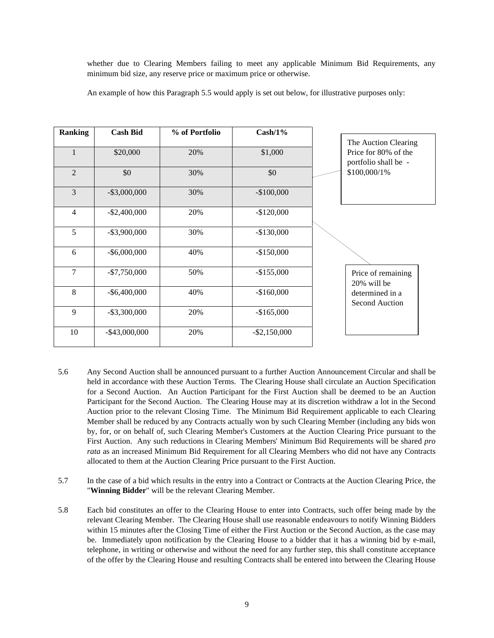whether due to Clearing Members failing to meet any applicable Minimum Bid Requirements, any minimum bid size, any reserve price or maximum price or otherwise.

An example of how this Paragraph 5.5 would apply is set out below, for illustrative purposes only:

| <b>Ranking</b> | <b>Cash Bid</b>  | % of Portfolio | $Cash/1\%$      |                                              |              |  |
|----------------|------------------|----------------|-----------------|----------------------------------------------|--------------|--|
|                |                  |                |                 | The Auction Clearing                         |              |  |
|                | \$20,000         | 20%            | \$1,000         | Price for 80% of the<br>portfolio shall be - |              |  |
| $\overline{2}$ | \$0              | 30%            | \$0             |                                              | \$100,000/1% |  |
| 3              | $-$ \$3,000,000  | 30%            | $-$100,000$     |                                              |              |  |
| 4              | $-$ \$2,400,000  | 20%            | $-$120,000$     |                                              |              |  |
| 5              | $-$ \$3,900,000  | 30%            | $-$130,000$     |                                              |              |  |
| 6              | $-$ \$6,000,000  | 40%            | $-$150,000$     |                                              |              |  |
| $\overline{7}$ | $-$7,750,000$    | 50%            | $-$155,000$     | Price of remaining<br>20% will be            |              |  |
| 8              | $-$ \$6,400,000  | 40%            | $-$160,000$     | determined in a<br><b>Second Auction</b>     |              |  |
| 9              | $-$ \$3,300,000  | 20%            | $-$165,000$     |                                              |              |  |
| 10             | $-$ \$43,000,000 | 20%            | $-$ \$2,150,000 |                                              |              |  |

- 5.6 Any Second Auction shall be announced pursuant to a further Auction Announcement Circular and shall be held in accordance with these Auction Terms. The Clearing House shall circulate an Auction Specification for a Second Auction. An Auction Participant for the First Auction shall be deemed to be an Auction Participant for the Second Auction. The Clearing House may at its discretion withdraw a lot in the Second Auction prior to the relevant Closing Time. The Minimum Bid Requirement applicable to each Clearing Member shall be reduced by any Contracts actually won by such Clearing Member (including any bids won by, for, or on behalf of, such Clearing Member's Customers at the Auction Clearing Price pursuant to the First Auction. Any such reductions in Clearing Members' Minimum Bid Requirements will be shared *pro rata* as an increased Minimum Bid Requirement for all Clearing Members who did not have any Contracts allocated to them at the Auction Clearing Price pursuant to the First Auction.
- 5.7 In the case of a bid which results in the entry into a Contract or Contracts at the Auction Clearing Price, the "**Winning Bidder**" will be the relevant Clearing Member.
- 5.8 Each bid constitutes an offer to the Clearing House to enter into Contracts, such offer being made by the relevant Clearing Member. The Clearing House shall use reasonable endeavours to notify Winning Bidders within 15 minutes after the Closing Time of either the First Auction or the Second Auction, as the case may be. Immediately upon notification by the Clearing House to a bidder that it has a winning bid by e-mail, telephone, in writing or otherwise and without the need for any further step, this shall constitute acceptance of the offer by the Clearing House and resulting Contracts shall be entered into between the Clearing House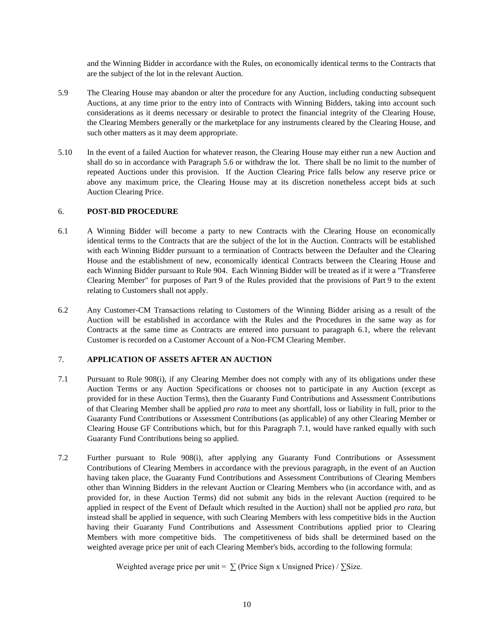and the Winning Bidder in accordance with the Rules, on economically identical terms to the Contracts that are the subject of the lot in the relevant Auction.

- 5.9 The Clearing House may abandon or alter the procedure for any Auction, including conducting subsequent Auctions, at any time prior to the entry into of Contracts with Winning Bidders, taking into account such considerations as it deems necessary or desirable to protect the financial integrity of the Clearing House, the Clearing Members generally or the marketplace for any instruments cleared by the Clearing House, and such other matters as it may deem appropriate.
- 5.10 In the event of a failed Auction for whatever reason, the Clearing House may either run a new Auction and shall do so in accordance with Paragraph 5.6 or withdraw the lot. There shall be no limit to the number of repeated Auctions under this provision. If the Auction Clearing Price falls below any reserve price or above any maximum price, the Clearing House may at its discretion nonetheless accept bids at such Auction Clearing Price.

#### 6. **POST-BID PROCEDURE**

- 6.1 A Winning Bidder will become a party to new Contracts with the Clearing House on economically identical terms to the Contracts that are the subject of the lot in the Auction. Contracts will be established with each Winning Bidder pursuant to a termination of Contracts between the Defaulter and the Clearing House and the establishment of new, economically identical Contracts between the Clearing House and each Winning Bidder pursuant to Rule 904. Each Winning Bidder will be treated as if it were a "Transferee Clearing Member" for purposes of Part 9 of the Rules provided that the provisions of Part 9 to the extent relating to Customers shall not apply.
- 6.2 Any Customer-CM Transactions relating to Customers of the Winning Bidder arising as a result of the Auction will be established in accordance with the Rules and the Procedures in the same way as for Contracts at the same time as Contracts are entered into pursuant to paragraph 6.1, where the relevant Customer is recorded on a Customer Account of a Non-FCM Clearing Member.

# 7. **APPLICATION OF ASSETS AFTER AN AUCTION**

- 7.1 Pursuant to Rule 908(i), if any Clearing Member does not comply with any of its obligations under these Auction Terms or any Auction Specifications or chooses not to participate in any Auction (except as provided for in these Auction Terms), then the Guaranty Fund Contributions and Assessment Contributions of that Clearing Member shall be applied *pro rata* to meet any shortfall, loss or liability in full, prior to the Guaranty Fund Contributions or Assessment Contributions (as applicable) of any other Clearing Member or Clearing House GF Contributions which, but for this Paragraph 7.1, would have ranked equally with such Guaranty Fund Contributions being so applied.
- 7.2 Further pursuant to Rule 908(i), after applying any Guaranty Fund Contributions or Assessment Contributions of Clearing Members in accordance with the previous paragraph, in the event of an Auction having taken place, the Guaranty Fund Contributions and Assessment Contributions of Clearing Members other than Winning Bidders in the relevant Auction or Clearing Members who (in accordance with, and as provided for, in these Auction Terms) did not submit any bids in the relevant Auction (required to be applied in respect of the Event of Default which resulted in the Auction) shall not be applied *pro rata*, but instead shall be applied in sequence, with such Clearing Members with less competitive bids in the Auction having their Guaranty Fund Contributions and Assessment Contributions applied prior to Clearing Members with more competitive bids. The competitiveness of bids shall be determined based on the weighted average price per unit of each Clearing Member's bids, according to the following formula:

Weighted average price per unit =  $\sum$  (Price Sign x Unsigned Price) /  $\sum$ Size.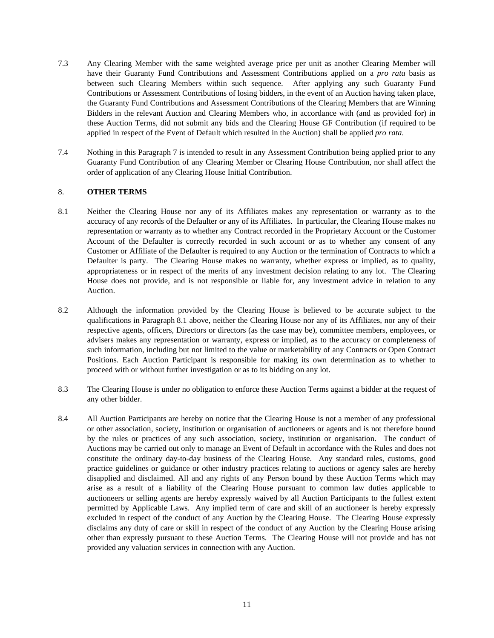- 7.3 Any Clearing Member with the same weighted average price per unit as another Clearing Member will have their Guaranty Fund Contributions and Assessment Contributions applied on a *pro rata* basis as between such Clearing Members within such sequence. After applying any such Guaranty Fund Contributions or Assessment Contributions of losing bidders, in the event of an Auction having taken place, the Guaranty Fund Contributions and Assessment Contributions of the Clearing Members that are Winning Bidders in the relevant Auction and Clearing Members who, in accordance with (and as provided for) in these Auction Terms, did not submit any bids and the Clearing House GF Contribution (if required to be applied in respect of the Event of Default which resulted in the Auction) shall be applied *pro rata*.
- 7.4 Nothing in this Paragraph 7 is intended to result in any Assessment Contribution being applied prior to any Guaranty Fund Contribution of any Clearing Member or Clearing House Contribution, nor shall affect the order of application of any Clearing House Initial Contribution.

#### 8. **OTHER TERMS**

- 8.1 Neither the Clearing House nor any of its Affiliates makes any representation or warranty as to the accuracy of any records of the Defaulter or any of its Affiliates. In particular, the Clearing House makes no representation or warranty as to whether any Contract recorded in the Proprietary Account or the Customer Account of the Defaulter is correctly recorded in such account or as to whether any consent of any Customer or Affiliate of the Defaulter is required to any Auction or the termination of Contracts to which a Defaulter is party. The Clearing House makes no warranty, whether express or implied, as to quality, appropriateness or in respect of the merits of any investment decision relating to any lot. The Clearing House does not provide, and is not responsible or liable for, any investment advice in relation to any Auction.
- 8.2 Although the information provided by the Clearing House is believed to be accurate subject to the qualifications in Paragraph 8.1 above, neither the Clearing House nor any of its Affiliates, nor any of their respective agents, officers, Directors or directors (as the case may be), committee members, employees, or advisers makes any representation or warranty, express or implied, as to the accuracy or completeness of such information, including but not limited to the value or marketability of any Contracts or Open Contract Positions. Each Auction Participant is responsible for making its own determination as to whether to proceed with or without further investigation or as to its bidding on any lot.
- 8.3 The Clearing House is under no obligation to enforce these Auction Terms against a bidder at the request of any other bidder.
- 8.4 All Auction Participants are hereby on notice that the Clearing House is not a member of any professional or other association, society, institution or organisation of auctioneers or agents and is not therefore bound by the rules or practices of any such association, society, institution or organisation. The conduct of Auctions may be carried out only to manage an Event of Default in accordance with the Rules and does not constitute the ordinary day-to-day business of the Clearing House. Any standard rules, customs, good practice guidelines or guidance or other industry practices relating to auctions or agency sales are hereby disapplied and disclaimed. All and any rights of any Person bound by these Auction Terms which may arise as a result of a liability of the Clearing House pursuant to common law duties applicable to auctioneers or selling agents are hereby expressly waived by all Auction Participants to the fullest extent permitted by Applicable Laws. Any implied term of care and skill of an auctioneer is hereby expressly excluded in respect of the conduct of any Auction by the Clearing House. The Clearing House expressly disclaims any duty of care or skill in respect of the conduct of any Auction by the Clearing House arising other than expressly pursuant to these Auction Terms. The Clearing House will not provide and has not provided any valuation services in connection with any Auction.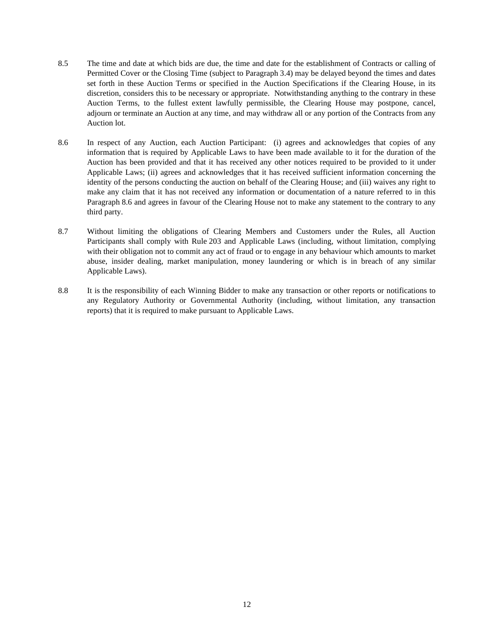- 8.5 The time and date at which bids are due, the time and date for the establishment of Contracts or calling of Permitted Cover or the Closing Time (subject to Paragraph 3.4) may be delayed beyond the times and dates set forth in these Auction Terms or specified in the Auction Specifications if the Clearing House, in its discretion, considers this to be necessary or appropriate. Notwithstanding anything to the contrary in these Auction Terms, to the fullest extent lawfully permissible, the Clearing House may postpone, cancel, adjourn or terminate an Auction at any time, and may withdraw all or any portion of the Contracts from any Auction lot.
- 8.6 In respect of any Auction, each Auction Participant: (i) agrees and acknowledges that copies of any information that is required by Applicable Laws to have been made available to it for the duration of the Auction has been provided and that it has received any other notices required to be provided to it under Applicable Laws; (ii) agrees and acknowledges that it has received sufficient information concerning the identity of the persons conducting the auction on behalf of the Clearing House; and (iii) waives any right to make any claim that it has not received any information or documentation of a nature referred to in this Paragraph 8.6 and agrees in favour of the Clearing House not to make any statement to the contrary to any third party.
- 8.7 Without limiting the obligations of Clearing Members and Customers under the Rules, all Auction Participants shall comply with Rule 203 and Applicable Laws (including, without limitation, complying with their obligation not to commit any act of fraud or to engage in any behaviour which amounts to market abuse, insider dealing, market manipulation, money laundering or which is in breach of any similar Applicable Laws).
- 8.8 It is the responsibility of each Winning Bidder to make any transaction or other reports or notifications to any Regulatory Authority or Governmental Authority (including, without limitation, any transaction reports) that it is required to make pursuant to Applicable Laws.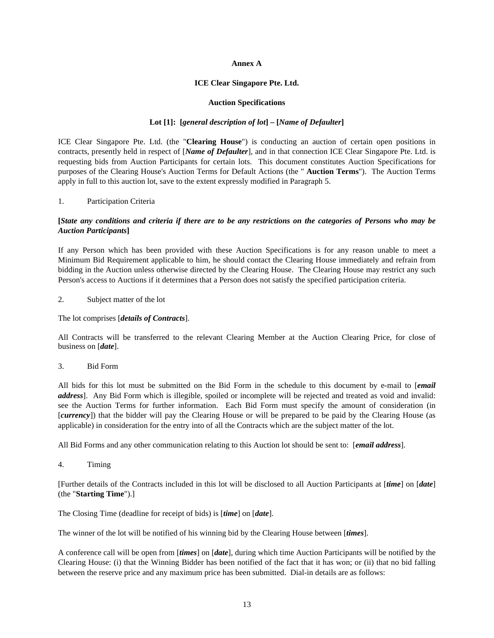#### **Annex A**

#### **ICE Clear Singapore Pte. Ltd.**

#### **Auction Specifications**

## **Lot [1]: [***general description of lot***] – [***Name of Defaulter***]**

ICE Clear Singapore Pte. Ltd. (the "**Clearing House**") is conducting an auction of certain open positions in contracts, presently held in respect of [*Name of Defaulter*], and in that connection ICE Clear Singapore Pte. Ltd. is requesting bids from Auction Participants for certain lots. This document constitutes Auction Specifications for purposes of the Clearing House's Auction Terms for Default Actions (the " **Auction Terms**"). The Auction Terms apply in full to this auction lot, save to the extent expressly modified in Paragraph 5.

## 1. Participation Criteria

## **[***State any conditions and criteria if there are to be any restrictions on the categories of Persons who may be Auction Participants***]**

If any Person which has been provided with these Auction Specifications is for any reason unable to meet a Minimum Bid Requirement applicable to him, he should contact the Clearing House immediately and refrain from bidding in the Auction unless otherwise directed by the Clearing House. The Clearing House may restrict any such Person's access to Auctions if it determines that a Person does not satisfy the specified participation criteria.

#### 2. Subject matter of the lot

#### The lot comprises [*details of Contracts*].

All Contracts will be transferred to the relevant Clearing Member at the Auction Clearing Price, for close of business on [*date*].

## 3. Bid Form

All bids for this lot must be submitted on the Bid Form in the schedule to this document by e-mail to [*email address*]. Any Bid Form which is illegible, spoiled or incomplete will be rejected and treated as void and invalid: see the Auction Terms for further information. Each Bid Form must specify the amount of consideration (in [*currency*]) that the bidder will pay the Clearing House or will be prepared to be paid by the Clearing House (as applicable) in consideration for the entry into of all the Contracts which are the subject matter of the lot.

All Bid Forms and any other communication relating to this Auction lot should be sent to: [*email address*].

4. Timing

[Further details of the Contracts included in this lot will be disclosed to all Auction Participants at [*time*] on [*date*] (the "**Starting Time**").]

The Closing Time (deadline for receipt of bids) is [*time*] on [*date*].

The winner of the lot will be notified of his winning bid by the Clearing House between [*times*].

A conference call will be open from [*times*] on [*date*], during which time Auction Participants will be notified by the Clearing House: (i) that the Winning Bidder has been notified of the fact that it has won; or (ii) that no bid falling between the reserve price and any maximum price has been submitted. Dial-in details are as follows: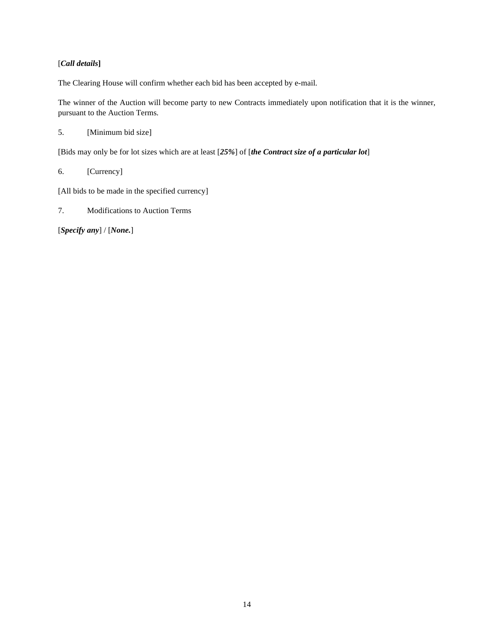# [*Call details***]**

The Clearing House will confirm whether each bid has been accepted by e-mail.

The winner of the Auction will become party to new Contracts immediately upon notification that it is the winner, pursuant to the Auction Terms.

5. [Minimum bid size]

[Bids may only be for lot sizes which are at least [*25%*] of [*the Contract size of a particular lot*]

6. [Currency]

[All bids to be made in the specified currency]

7. Modifications to Auction Terms

[*Specify any*] / [*None.*]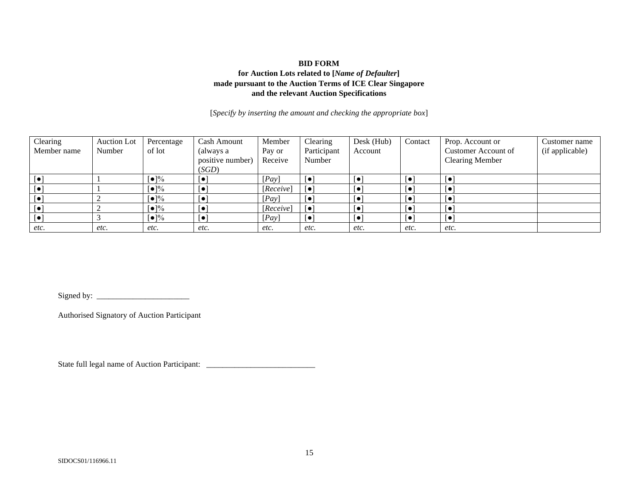## **BID FORM for Auction Lots related to [***Name of Defaulter***] made pursuant to the Auction Terms of ICE Clear Singapore and the relevant Auction Specifications**

[*Specify by inserting the amount and checking the appropriate box*]

| Clearing    | Auction Lot | Percentage                | <b>Cash Amount</b> | Member    | Clearing                | Desk (Hub) | Contact | Prop. Account or       | Customer name   |
|-------------|-------------|---------------------------|--------------------|-----------|-------------------------|------------|---------|------------------------|-----------------|
| Member name | Number      | of lot                    | (always a          | Pay or    | Participant             | Account    |         | Customer Account of    | (if applicable) |
|             |             |                           | positive number)   | Receive   | Number                  |            |         | <b>Clearing Member</b> |                 |
|             |             |                           | (SGD)              |           |                         |            |         |                        |                 |
|             |             | $\lceil\bullet\rceil\%$   |                    | [Pay]     | ſ۰                      |            | I۰      | ∫●                     |                 |
|             |             | $\lceil \bullet \rceil\%$ | í€.                | [Receive] | $\lceil \bullet \rceil$ |            |         | ſ۰                     |                 |
|             |             | $\lceil \bullet \rceil\%$ | ∫€.                | [Pay]     | $\lceil \bullet \rceil$ |            |         | ∫●                     |                 |
|             |             | $\lceil \bullet \rceil\%$ |                    | [Receive] | $\sqrt{•}$              |            | ∫●      | ſ۰                     |                 |
|             |             | $\lceil\bullet\rceil\%$   |                    | [Pay]     | $\lceil \bullet \rceil$ | ∣ ●        | ⊺●      | ∫●                     |                 |
| etc.        | etc.        | etc.                      | etc.               | etc.      | etc.                    | etc.       | etc.    | etc.                   |                 |

Signed by:  $\frac{1}{2}$  =  $\frac{1}{2}$  =  $\frac{1}{2}$  =  $\frac{1}{2}$  =  $\frac{1}{2}$  =  $\frac{1}{2}$  =  $\frac{1}{2}$  =  $\frac{1}{2}$  =  $\frac{1}{2}$  =  $\frac{1}{2}$  =  $\frac{1}{2}$  =  $\frac{1}{2}$  =  $\frac{1}{2}$  =  $\frac{1}{2}$  =  $\frac{1}{2}$  =  $\frac{1}{2}$  =  $\frac{1}{2}$  =  $\frac{1}{$ 

Authorised Signatory of Auction Participant

State full legal name of Auction Participant: \_\_\_\_\_\_\_\_\_\_\_\_\_\_\_\_\_\_\_\_\_\_\_\_\_\_\_\_\_\_\_\_\_\_